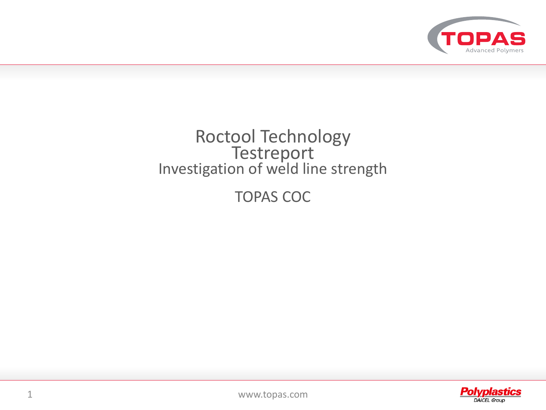

## Roctool Technology **Testreport** Investigation of weld line strength

TOPAS COC

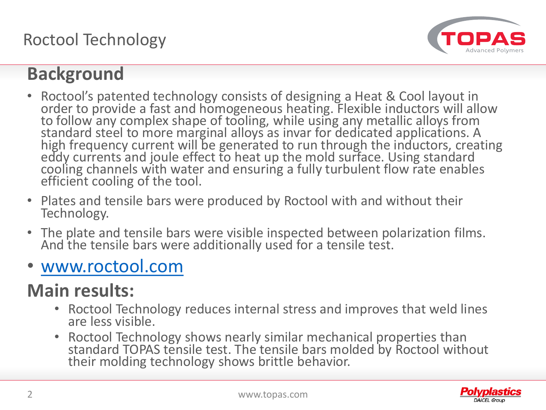Roctool Technology



# **Background**

- Roctool's patented technology consists of designing a Heat & Cool layout in order to provide a fast and homogeneous heating. Flexible inductors will allow to follow any complex shape of tooling, while using any metallic alloys from standard steel to more marginal alloys as invar for dedicated applications. A high frequency current will be generated to run through the inductors, creating eddy currents and joule effect to heat up the mold surface. Using standard cooling channels with water and ensuring a fully turbulent flow rate enables efficient cooling of the tool.
- Plates and tensile bars were produced by Roctool with and without their Technology.
- The plate and tensile bars were visible inspected between polarization films. And the tensile bars were additionally used for a tensile test.
- [www.roctool.com](http://www.roctool.com/)

# **Main results:**

- Roctool Technology reduces internal stress and improves that weld lines are less visible.
- Roctool Technology shows nearly similar mechanical properties than standard TOPAS tensile test. The tensile bars molded by Roctool without their molding technology shows brittle behavior.

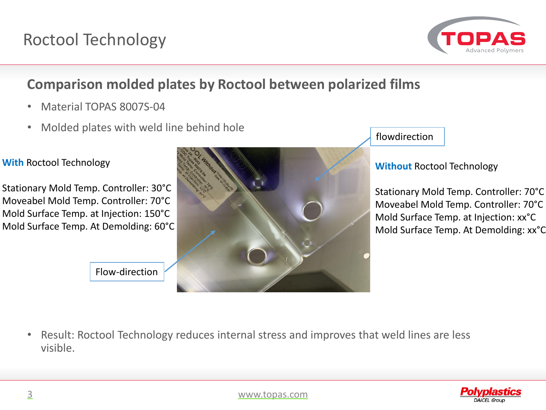

## **Comparison molded plates by Roctool between polarized films**

- Material TOPAS 8007S-04
- Molded plates with weld line behind hole



Stationary Mold Temp. Controller: 30°C Moveabel Mold Temp. Controller: 70°C Mold Surface Temp. at Injection: 150°C Mold Surface Temp. At Demolding: 60°C



flowdirection

### **Without** Roctool Technology

Stationary Mold Temp. Controller: 70°C Moveabel Mold Temp. Controller: 70°C Mold Surface Temp. at Injection: xx°C Mold Surface Temp. At Demolding: xx°C

Flow-direction

• Result: Roctool Technology reduces internal stress and improves that weld lines are less visible.

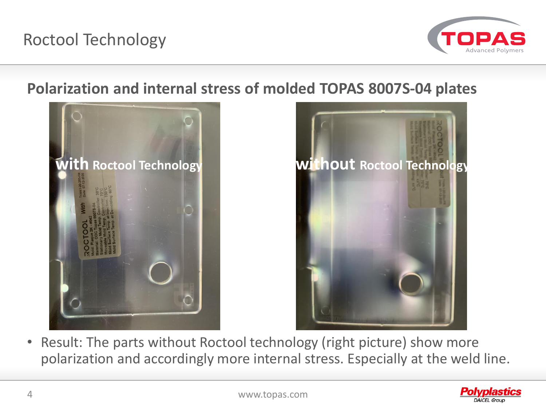

## **Polarization and internal stress of molded TOPAS 8007S-04 plates**





• Result: The parts without Roctool technology (right picture) show more polarization and accordingly more internal stress. Especially at the weld line.

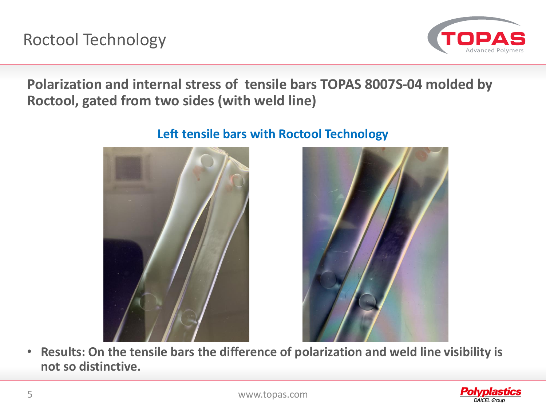

**Polarization and internal stress of tensile bars TOPAS 8007S-04 molded by Roctool, gated from two sides (with weld line)**

### **Left tensile bars with Roctool Technology**



• **Results: On the tensile bars the difference of polarization and weld line visibility is not so distinctive.**